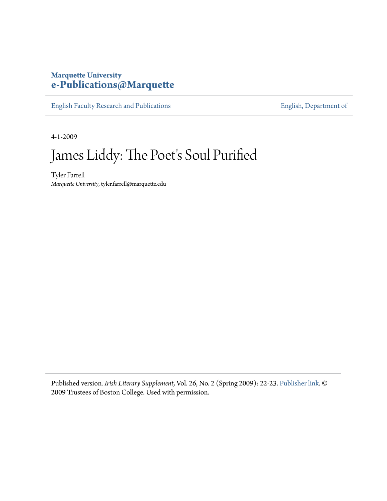## **Marquette University [e-Publications@Marquette](https://epublications.marquette.edu)**

[English Faculty Research and Publications](https://epublications.marquette.edu/english_fac) **[English, Department of](https://epublications.marquette.edu/english)** 

4-1-2009

# James Liddy: The Poet's Soul Purified

Tyler Farrell *Marquette University*, tyler.farrell@marquette.edu

Published version*. Irish Literary Supplement*, Vol. 26, No. 2 (Spring 2009): 22-23. [Publisher link.](https://www.bc.edu/bc-web/centers/center-for-irish-programs.html) © 2009 Trustees of Boston College. Used with permission.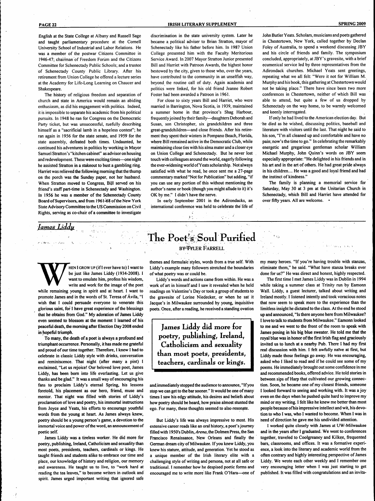English at the State College at Albany and Russell Sage and taught parliamentary procedure at the Cornell University School of Industrial and Labor Relations. He was a member of the postwar Citizens Committee in 1946-47; chairman of Freedom Forum and the Citizens Committee for Schenectady Public Schools; and a trustee of Schenectady County Public Library. After his retirement from Union College he offered a lecture series at the Academy for Life-Long Learning on Chaucer and Shakespeare.

The history of religious freedom and separation of church and state in America would remain an abiding enthusiasm, as did his engagement with politics. Indeed, it is impossible to separate his academic from his political pursuits. In 1948 he ran for Congress on the Democratic Party ticket, but was unsuccessful, ruefully describing himself as a "sacrificial lamb in a hopeless contest"; he ran again in 1956 for the state senate, and 1959 for the state assembly, defeated both times. Undaunted, he continued his adventures in politics by working in Mayor Samuel Stratton's "kitchen cabinet" as advisor on housing and redevelopment. These were exciting times—one night he assisted Stratton in a stakeout to bust a gambling ring. Harriet was relieved the following morning that the thump on the porch was the Sunday paper, not her husband. When Stratton moved to Congress, Bijl served on his friend's staff part-time in Schenectady and Washington. In 1956 he was a member of the Schenectady County Board of Supervisors, and from 1961-68 of the New York State Advisory Committee to the US Commission on Civil Rights, serving as co-chair of a committee to investigate

### **PAGE 22 IRISH LITERARY SUPPLEMENT SPRING 2009**

discrimination in the state university system. Later he became a political adviser to Brian Stratton, mayor of Schenectady like his father before him. In 1987 Union College presented him with the Faculty Meritorious Service Award. In 2007 Mayor Stratton Junior presented Bill and Harriet with Patroon Awards, the highest honor bestowed by the city, given to those who, over the years, have contributed to the community in an unselfish way, beyond the routine call of duty. Again academia and politics were linked, for his old friend Jeanne Robert Foster had been awarded a Patroon in 1961.

For close to sixty years Bill and Harriet, who were married in Barrington, Nova Scotia, in 1939, maintained a summer home in that province's Shag Harbour, frequentlyjoined by their family—daughters Deborah and Susan, son Christopher, six grandchildren and three great-grandchildren—and close friends. After his retirement they spent their winters in Pompano Beach, Florida, where Bill remained active in the Democratic Club, while maintaining close ties with his alma mater and a closer eye on Union College and Schenectady. But he never lost touch with colleagues around the world, eagerly following the ever-widening world of Yeats scholarship. Not always satisfied with what he read, he once sent me a 27-page commentary marked "Not for Publication" but adding, "if you can use any portion of this without mentioning the author's name or book (though you might allude to it) it's OK by me." I didn't have the nerve.

In early September 2001 in the Adirondacks, an international conference was held to celebrate the life of John Butler Yeats. Scholars, musicians and poets gathered in Chestertown, New York, called together by Declan Foley of Australia, to spend a weekend discussing JBY and his circle of friends and family. The symposium concluded, appropriately, at JBY's gravesite, with a brief ecumenical service led by three representatives from the Adirondack churches. Michael Yeats sent greetings, repeating what we all felt: "Were it not for William M. Murphy and his book, this gathering at Chestertown would not be taking place." There have since been two more conferences in Chestertown, neither of which Bill was able to attend, but quite a few of us dropped by Schenectady on the way home, to be warmly welcomed and keenly interrogated.

If only he had lived to the American election day. But he died as hè wished, discussing politics, baseball and literature with visitors until the last. That night he said to his son, "I'm all cleaned up and comfortable and have no pain; now's the time to go." In celebrating the remarkably energetic and gregarious gentleman scholar William Michael Murphy, John Quinn's words on JBY seem especially appropriate: "He delighted in his friends and in his art and in the art of others. He had great pride always in his children.... He was a good and loyal friend and had the instinct of kindness."

The family is planning a memorial service for Saturday, May 30 at 3 pm at the Unitarian Church in Schenectady, which Bill and Harriet have attended for over fifty years. All are welcome. •

## *lames Liadu*

HEN I GROW UP (if I ever have to) I want to be just like James Liddy (1934-2008). I want to emulate him, profess his wisdom, write and work for the image of the poet while remaining young in spirit and at heart. I want to HEN I GROW UP (if I ever have to) I want to be just like James Liddy (1934-2008). I want to emulate him, profess his wisdom, write and work for the image of the poet promote James and in the words of St. Teresa of Ávila, "1 wish that I could persuade everyone to venerate this glorious saint, for I have great experience of the blessings that he obtains from God." My adoration of James Liddy even seemed to blossom at the moment I learned of his peaceful death, the moming after Election Day 2008 ended in hopeful triumph.

To many, the death of a poet is always a profound and triumphant occurrence. Personally, it has made me grateful and proud of our time together. Therefore, I knew I had to celebrate in classic Liddy style with drinks, conversation and reminiscence. That night (after many a pint) I exclaimed, "Let us rejoice! Our beloved love poet, James Liddy, has been bom into life everlasting. Let us give thanks and be glad." It was a small way of encouraging his fans to proclaim Liddy's eternal Spring, his lessons foretold, his placement as our hero, friend, muse and mentor. That night was filled with stories of Liddy's proclamation of love and poetry, his immortal instructions from Joyce and Yeats, his efforts to encourage youthful words from the young at heart. As James always knew, poetry should be a young person's game, a devotion to the immortal voice and power of the word, an announcement of poetic self

James Liddy was a tireless worker. He did more for poetry, publishing, Ireland, Catholicism and sexuality than most poets, presidents, teachers, cardinals or kings. He taught friends and students alike to embrace our time and place, our knowledge of history and religion, our memory and awareness. He taught us to live, to "work hard at reading the tea leaves," to become writers in outlook and spirit. James urged important writing that ignored safe

themes and formulaic styles, words from a true self. With Liddy's example many followers stretched the boundaries of what poetry was or could be.

The Poet's Soul Purified

**BY-TYLER FARRELL** 

Liddy's words and actions came from within. He was a work of art in himself and I saw it revealed when he held readings on Valentine's Day or took a group of students to the gravesite of Lorine Niedecker, or when he sat it Jacque's in Milwaukee surrounded by young, inquisitive poets. Once, after a reading, he received a standing ovation

**James Liddy did more for** poetry, publishing, Ireland, **Catnolicism and sexuality than most poets, presidents,** teachers, cardinals or kings.

and.immediately stopped the audience to announce, "If you stop we can get to the bar sooner." It would be one of many times I saw his edgy attitude, his desires and beliefs about how poetry should be heard, how praise almost stunted the ego. For many, these thoughts seemed to also resonate.

But Liddy's life was always impressive to most. His extensive career reads like an oral history, a poet's joumey filled with 195O's *Dublin, Arena,* the Dolmen Press, the San Francisco Renaissance, New Orleans and fmally the German dream city of Milwaukee. If you knew Liddy, you knew his stature, attitude, and generation. Yet he stood as a unique member of the Irish literary elite with a challenging style of writing and persona, not at all safe or traditional. I remember how he despised poetic forms and encouraged me to write more like Frank O'Hara—one of

 $\lambda_{\rm{max}}$ 

 $\mathbb{L}$ 

my many heroes. "If you're having trouble with stanzas, eliminate them," he said. "What have stanza breaks ever done for us?" He was direct and honest, highly respected.

The first time I met James Liddy was in Dublin in 1994 while taking a summer class at Trinity run by Eamonn Wall. Liddy, a guest lecturer, talked about writing and Ireland mostly. I listened intently and took voracious notes that now seem to speak more to the experience than the limitless insight he dictated to the class. At the end he stood up and announced, "Is there anyone here from Milwaukee? I love to talk to students from Milwaukee." Eamonn looked to me and we went to the front of the room to speak with James posing in his big blue sweater. He told me that the royal blue was in honor of the fírst Irish flag and graciously invited us to lunch at a nearby Pub. There I had my first real discussion with him. I felt awfully naïve at first, but Liddy made those feelings go away. He was encouraging, asked who I liked to read and if he could see some of my poems. He immediately brought out some confidence in me and recommended books, offered advice. He told stories in between sips of Harp that cultivated our growing connection. Soon, he became one of my closest friends, someone I looked forward to seeing and working with. It was a joy even on the days when he pushed quite hard to improve my mind or my writing. I felt like he knew me better than most people because of his impressive intellect and wit, his devotion to who I was, who I wanted to become. When I was in need of direction he gave me his undivided attention.

I worked quite closely with James at UW-Milwaukee and in the years after I graduated. We went to conferences together, traveled to Coolgreaney and Kilkee, frequented bars, classrooms, and offices. It was a formative experience, a look into the literary and academic world from the often contrary and highly interesting perspective of James Liddy. We wrote each other weekly and I remember one very encouraging letter when I was just starting to get published. It was filled with congratulations and an invita-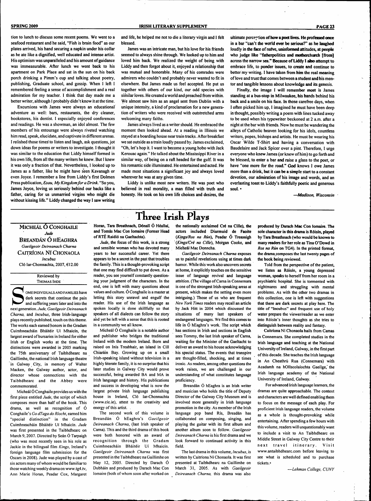**SPRING 2009 PAGE 23** 

tion to lunch to discuss some recent poems. We went to a seafood restaurant and he said, "Fish is brain food" as our plates arrived, his hand securing a napkin under his collar as he ate like a dignified, well educated and intense artist. His optimism was unparalleled and his amount of guidance was immeasurable. Añer lunch we went back to his apartment on Park Place and sat in the sun on his back porch drinking a Pimm's cup and talking about poetry, publishing, Graduate school, and gossip. When I left I remembered feeling a sense of accomplishment and a real admiration for my teacher. I think that day made me a better writer, although I probably didn't know it at the time.

Excursions with James were always an educational adventure as well: bars, restaurants, the dry cleaner, bookstores, his dentist. I especially enjoyed conferences and readings. He was a showman, an idol almost. The few members of his entourage were always riveted watching him read, speak, elucidate, and captivate in different arenas. I relished those times to listen and laugh, ask questions, jot down ideas for poems or writers to investigate. I thought it was similar to the education that Liddy himself formed in his own life, from all the many writers he knew. But I knew it was only a fraction of that. Nevertheless, I looked up to James as a father, like he might have seen Kavanagh or even Joyce. I remember a line from Liddy's first Dolmen Press publ ication, *Esau, My Kingdom for a Drink.* "So you, James Joyce, loving us seriously behind our backs like a father, caring for us unmarried virgins who might die without kissing life." Liddy changed the way I saw writing

and life, he helped me not to die a literary virgin and I felt blessed.

James was an intricate man, but his love for his friends seemed to always shine through. We looked up to him and loved him back. We realized the weight of being with Liddy and then forgot about it, enjoyed a relationship that was mutual and honorable. Many of his comrades were admirers who couldn't and probably never wanted to fit in elsewhere. But James made us feel accepted. He put us together with others of our kind, our odd species with similar loves. He created a world and preached from within. We almost saw him as an angel sent from Dublin with a unique intensity, a kind of proclamation for a new generation of writers who were received with outstretched arms welcoming many faiths.

James always lived as a writer should. He embraced the moment then looked ahead. At a reading in Illinois we stayed at a boarding house near train tracks. Añer breakfast we sat outside as a train loudly passed by. James exclaimed, "Oh, let's hop it. I want to become a young hobo with Jack Kerouac again." Hé talked about the Mississippi River in a similar way, of being on a raft headed for the gulf. It was his romantic side illuminated. He entertained and acted. He made most situations a significant joy and always loved wherever he was at any given time.

Liddy is unlike most new writers. He was poet who believed in real morality, **a** man filled with truth and honesty. He took on his own life choices and desires, **the**

ultimate perception **of how a poet lives. He profesed once in a** bar **"can't the world ever be serious?" as he laughed** loudly in the face of naïve, uninformed attitudes, at people who judge like "fatherpolitics and motherchurch [from] across the narrow sea." **Because of Liddy I abo attempt to** embrace life, to ponder issues, **to create and** continue **to** better my writing. I have taken from **him** the real meaning of love and trust that comes between **a** student **and** his mentor and tangible lessons about knowledge **and its** genesis.

Finally, the image **I will remember most** is James standing at **a** bus-stop **in** Milwaukee, **his** hands behind his back and **a** smile on his face. **In** those carefree days, when I often picked him up, I imagined he must have been deep in thought, possibly writing a poem with lines tucked away to be used when his typewriter beckoned at 2 a.m. after a night at the bar with friends. Now he must be wandering the alleys of Catholic heaven looking for his idols, countless writers, popes, bishops and artists. He must be wearing his Oscar Wilde T-Shirt and having a conversation with Baudelaire and Jack Spicer over a pint. Therefore, 1 urge everyone who knew James (or knew of him) to go forth and be blessed, to enter a bar **and** raise a glass to the poet, or have "one more for the road." **God** knows I owe James more than **a** drink, **but** it **can be a** simple start to a constant devotion, our **admiration** of his image and words, and an everlasting toast **to** Liddy's faithfully poetic and generous **soul.** •

**—***Madison, Wisconsin*

## **Three Irish Plays**

### MICHEÁL Ó CONGHAILE *Jude* BREANDÁN Ó HEAGHRA *Gaeilgeoir Deireanach Charna* CAITRÍONA Nf CHONAOLA *Incubus* Ció Iar-Chonnachta, 2007, €12.00

Reviewed by THOMAS

**SERVICHER SERVICHER SHARE SERVICE SHARE SERVICE SHARE SHARE SHARE SHARE SHARE SHARE SHARE SHARE SHARE SHARE SHARE SHARE SHARE SHARE SHARE SHARE SHARE SHARE SHARE SHARE SHARE SHARE SHARE SHARE SHARE SHARE SHARE SHARE SHARE OME INDIVIDUALS AND FAMILIES have** dark secrets that continue the pain and suffering years later and into the *Charna,* and *Incubus,* three Irish-language plays recently published, touch on this theme. The works each earned honors in the Gradam Cuimhneacháin Bháitéir Uí Mhaicín, the largest award of bursaries in Ireland for either Irish or English works at the time. The distinctions were awarded in 2005 marking the 75th anniversary of Taibhdhearc na Gaillimhe, the national Irish language theatre in Galway City, in memory of Walter Macken, the Galway author, actor, and director whose connections with the Taibhdhearc and the Abbey were commemorated.

Micheál Ó Conghaile provides us with the first piece entitled *Jude,* the script of which composes more than half of the book. This drama, as well as recognition of Ó Conghaile's *Go dTaga do Riocht,* earned him "special distinction" in the Gradam Cuimhneacháin Bháitéir Uí Mhaicín. *Jude* was first presented in the Taibhdhearc on March 9, 2007. Directed by Seán Ó Tarpaigh (who was most recently seen in his role as Jackie in the bilingual film *Kings,* Ireland's foreign language film submission for the Oscars in 2008). Jude was played by a cast of six actors many of whom would be familiar to those watching weekly drama on www.tg4.tv, Ann Marie Horan, Peadar Cox, Margaret

Horan, Tara Breathnach, Dónall Ó Héallai, and Tomás Mac Con Iomaire (Former Head of RTÉ Raidió na Gaeltachta).

*Jude,* the focus of this work, is a strong and sensible woman who has devoted many years to her successful career. Yet there appears to be a secret in the past that troubles the family. This is a thought-provoking script that one may find difficult to put down. As a reader, you see yourself constantly questioning your judgment of the characters. In the end, one is left with many questions about values and culture. Ó Conghaile is a master at letting this story unravel and engulf the reader. His use of the Irish language as spoken locally is done skillfully so that speakers of all dialects can follow the story and yet be left with a sense that this is rooted in a community we all know.

Micheál Ó Conghaile is a notable author and publisher who bridges the traditional Ireland with the modem Ireland. Born and raised on Inis Treabhair, an island in Cill Chiaráin Bay. Growing up on a small Irish-speaking island without television in a highly literate family, it is no surprise that his later studies in Galway City would prove successful, being awarded BA and MA in Irish language and history. His publications and success in developing what is now the largest private Irish language publishing house in Ireland, Ció Iar-Chonnachta (www.cic.ie), attest to the creativity and energy of this artist. .

The second work of this volume is Breandán Ó hEaghra's *Gaeilgeoir Deireanach Charna,* (last Irish speaker of Carna). This and the third drama of this book were both honored with an award of recognition through the Gradam Cuimhneacháin Bháitéir Uí Mhaicín. *Gaeilgeoir Deireanach Charna* was first presented in the Taibhdhearc na Gaillimhe on May 12, 2005. Directed by Darach Ó Dubháin and produced by Darach Mac Con Iomaire (both of whom soon after worked on

the nationally acclaimed Cré na Cille), **the** actors included Diarmuid de **Faoite** *{Kijtgs/Ros na Run),* **Peadar Ó Treasaigh** *(kings/Cré na Cille),* **Morgan Cooke, and** Micheál Mac Donncha.

*Gaeilgeoir Deireanach Charna* **exposes** us to painful revelations using at times dark humor. While this work also uncovers secrets at home, it explicitly touches on the sensitive issue of language revival and language attrition. (The village of Carna in Connemara is one of the strongest Irish-speaking areas at present, which makes the setting even more intriguing.) Those of us who are frequent *New York Times* readers may recall an article by Jack Hitt in 2004 which discussed the situations of many last speakers of endangered languages. We find this comes to life in Ó hEaghra's work. The script which has sections in Irish and sections in English sees Tommy, the last Irish speaker of Cama, waiting for the Minister of the Gaeltacht to deliver an award to his house acknowledging his special status. The events that transpire are thought-filled, shocking, and at times ironic. As readers, among other questions the work raises, we are challenged in our understanding of what constitutes language proficiency.

Breandán Ó hEaghra is an Irish writer and musician who holds the title of Deputy Director of the Galway City Museum and is involved more generally in Irish language promotion in the city. As member of the Irish language pop band Ris, Breadán has collaborated on composing, singing, and playing the guitar with its first album and another album soon to follow. *Gaeilgeoir Deireanach Charna* is his first drama and we look forward to continued activity in this field.

The last drama in this volume. *Incubus,* is written by Caitriona Ni Chonaola. It was first presented at Taibhdhearc na Gaillimhe on March 31, 2005. As with *Gaeilgeoir Deireanach Charna,* this drama was also

produced by Darach **Mac Con** Iomaire. **The** sole character in this drama is Róisín, played by Tare **Breathnach** (who would be known to many readers for her role as Tina O'Dowd in *Ros na Run* on TG4). In the printed format, the drama composes the last twenty pages of the book being reviewed.

Told from the perspective of the patient, we listen as Róisín, a young depressed woman, speaks to herself from her room in a psychiatric hospital. She is tormented with nightmares and struggling with mental problems. As with the other two dramas in this collection, one is left with suggestions that there are dark secrets at play here. The title of "Incubus" and frequent use of holy water prepare the viewer/reader as we enter into Róisín's inner thoughts as she tries to distinguish between reality and fantasy.

CaitrfonaNi Chonaola hails from Camas in Connemara. She completed studies in the Irish language and teaching at the National University of Ireland, Galway, in the first part of this decade. She teaches the Irish language in An Cheathrú Rua (Connemara) with Acadamh na hOllscolaiochta Gaeilge,' the Irish language academy of the National University of Ireland, Galway.

For advanced Irish language learners, the dramas are quite approachable. The context and characters are well defined enabling them to focus on the message of each play. For proficient Irish language readers, the volume as a whole is thought-provoking while entertaining. After spending a few hours with this volume, readers will unquestionably want to include a visit to An Taibhdhearc on Middle Street in Galway City Centre to their next travel itinerary. Visit www.antaibhdhearc.com before leaving to see what is scheduled and to purchase tickets.«

*—Lehman College, CUNY*